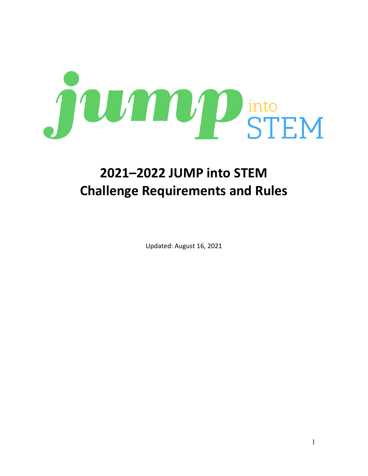

# **2021–2022 JUMP into STEM Challenge Requirements and Rules**

Updated: August 16, 2021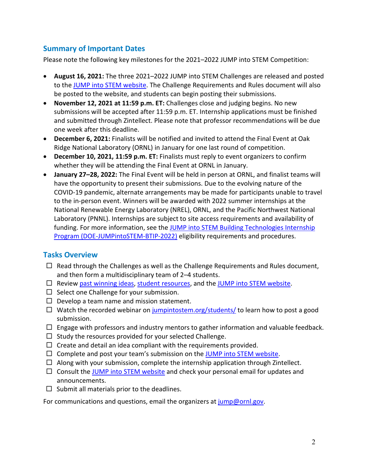## **Summary of Important Dates**

Please note the following key milestones for the 2021–2022 JUMP into STEM Competition:

- **August 16, 2021:** The three 2021–2022 JUMP into STEM Challenges are released and posted to the [JUMP into STEM website.](http://www.jumpintostem.org/) The Challenge Requirements and Rules document will also be posted to the website, and students can begin posting their submissions.
- **November 12, 2021 at 11:59 p.m. ET:** Challenges close and judging begins. No new submissions will be accepted after 11:59 p.m. ET. Internship applications must be finished and submitted through Zintellect. Please note that professor recommendations will be due one week after this deadline.
- **December 6, 2021:** Finalists will be notified and invited to attend the Final Event at Oak Ridge National Laboratory (ORNL) in January for one last round of competition.
- **December 10, 2021, 11:59 p.m. ET:** Finalists must reply to event organizers to confirm whether they will be attending the Final Event at ORNL in January.
- **January 27–28, 2022:** The Final Event will be held in person at ORNL, and finalist teams will have the opportunity to present their submissions. Due to the evolving nature of the COVID-19 pandemic, alternate arrangements may be made for participants unable to travel to the in-person event. Winners will be awarded with 2022 summer internships at the National Renewable Energy Laboratory (NREL), ORNL, and the Pacific Northwest National Laboratory (PNNL). Internships are subject to site access requirements and availability of funding. For more information, see the JUMP into STEM Building Technologies Internship [Program \(DOE-JUMPintoSTEM-BTIP-2022\)](https://zintellect.com/Opportunity/Details/DOE-JUMPintoSTEM-BTIP-2022) eligibility requirements and procedures.

## **Tasks Overview**

- $\Box$  Read through the Challenges as well as the Challenge Requirements and Rules document, and then form a multidisciplinary team of 2–4 students.
- $\Box$  Review [past winning ideas,](https://jumpintostem.org/past-winners/) [student resources,](https://jumpintostem.org/students/) and the [JUMP into STEM website.](http://www.jumpintostem.org/)
- $\Box$  Select one Challenge for your submission.
- $\Box$  Develop a team name and mission statement.
- $\Box$  Watch the recorded webinar on [jumpintostem.org/students/](https://jumpintostem.org/students/) to learn how to post a good submission.
- $\Box$  Engage with professors and industry mentors to gather information and valuable feedback.
- $\Box$  Study the resources provided for your selected Challenge.
- $\Box$  Create and detail an idea compliant with the requirements provided.
- $\Box$  Complete and post your team's submission on the [JUMP into STEM website.](http://www.jumpintostem.org/)
- $\Box$  Along with your submission, complete the internship application through Zintellect.
- $\Box$  Consult the [JUMP into STEM website](http://www.jumpintostem.org/) and check your personal email for updates and announcements.
- $\square$  Submit all materials prior to the deadlines.

For communications and questions, email the organizers at [jump@ornl.gov.](mailto:jump@ornl.gov)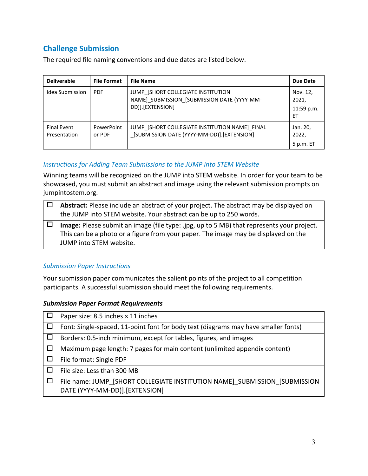# **Challenge Submission**

| <b>Deliverable</b>                 | <b>File Format</b>   | <b>File Name</b>                                                                                      | Due Date                              |
|------------------------------------|----------------------|-------------------------------------------------------------------------------------------------------|---------------------------------------|
| Idea Submission                    | <b>PDF</b>           | JUMP [SHORT COLLEGIATE INSTITUTION<br>NAME] SUBMISSION [SUBMISSION DATE (YYYY-MM-<br>DD)].[EXTENSION] | Nov. 12,<br>2021,<br>11:59 p.m.<br>FT |
| <b>Final Event</b><br>Presentation | PowerPoint<br>or PDF | JUMP [SHORT COLLEGIATE INSTITUTION NAME] FINAL<br>[SUBMISSION DATE (YYYY-MM-DD)]. [EXTENSION]         | Jan. 20,<br>2022,<br>5 p.m. ET        |

The required file naming conventions and due dates are listed below.

#### *Instructions for Adding Team Submissions to the JUMP into STEM Website*

Winning teams will be recognized on the JUMP into STEM website. In order for your team to be showcased, you must submit an abstract and image using the relevant submission prompts on jumpintostem.org.

| Abstract: Please include an abstract of your project. The abstract may be displayed on<br>the JUMP into STEM website. Your abstract can be up to 250 words.                                                |
|------------------------------------------------------------------------------------------------------------------------------------------------------------------------------------------------------------|
| Image: Please submit an image (file type: .jpg, up to 5 MB) that represents your project.<br>This can be a photo or a figure from your paper. The image may be displayed on the<br>JUMP into STEM website. |

#### *Submission Paper Instructions*

Your submission paper communicates the salient points of the project to all competition participants. A successful submission should meet the following requirements.

#### *Submission Paper Format Requirements*

| Paper size: 8.5 inches $\times$ 11 inches                                                                    |
|--------------------------------------------------------------------------------------------------------------|
| Font: Single-spaced, 11-point font for body text (diagrams may have smaller fonts)                           |
| Borders: 0.5-inch minimum, except for tables, figures, and images                                            |
| Maximum page length: 7 pages for main content (unlimited appendix content)                                   |
| File format: Single PDF                                                                                      |
| File size: Less than 300 MB                                                                                  |
| File name: JUMP [SHORT COLLEGIATE INSTITUTION NAME] SUBMISSION [SUBMISSION<br>DATE (YYYY-MM-DD)].[EXTENSION] |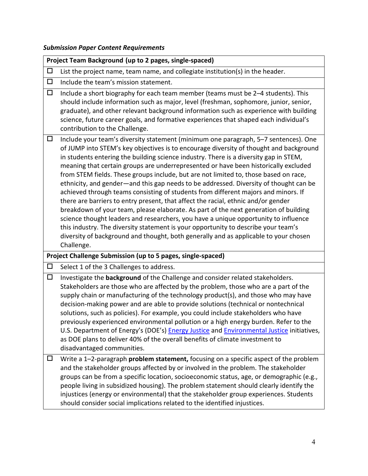# *Submission Paper Content Requirements*

|        | Project Team Background (up to 2 pages, single-spaced)                                                                                                                                                                                                                                                                                                                                                                                                                                                                                                                                                                                                                                                                                                                                                                                                                                                                                                                                                                                                                                               |
|--------|------------------------------------------------------------------------------------------------------------------------------------------------------------------------------------------------------------------------------------------------------------------------------------------------------------------------------------------------------------------------------------------------------------------------------------------------------------------------------------------------------------------------------------------------------------------------------------------------------------------------------------------------------------------------------------------------------------------------------------------------------------------------------------------------------------------------------------------------------------------------------------------------------------------------------------------------------------------------------------------------------------------------------------------------------------------------------------------------------|
| $\Box$ | List the project name, team name, and collegiate institution(s) in the header.                                                                                                                                                                                                                                                                                                                                                                                                                                                                                                                                                                                                                                                                                                                                                                                                                                                                                                                                                                                                                       |
| $\Box$ | Include the team's mission statement.                                                                                                                                                                                                                                                                                                                                                                                                                                                                                                                                                                                                                                                                                                                                                                                                                                                                                                                                                                                                                                                                |
| $\Box$ | Include a short biography for each team member (teams must be 2-4 students). This<br>should include information such as major, level (freshman, sophomore, junior, senior,<br>graduate), and other relevant background information such as experience with building<br>science, future career goals, and formative experiences that shaped each individual's<br>contribution to the Challenge.                                                                                                                                                                                                                                                                                                                                                                                                                                                                                                                                                                                                                                                                                                       |
| $\Box$ | Include your team's diversity statement (minimum one paragraph, 5-7 sentences). One<br>of JUMP into STEM's key objectives is to encourage diversity of thought and background<br>in students entering the building science industry. There is a diversity gap in STEM,<br>meaning that certain groups are underrepresented or have been historically excluded<br>from STEM fields. These groups include, but are not limited to, those based on race,<br>ethnicity, and gender-and this gap needs to be addressed. Diversity of thought can be<br>achieved through teams consisting of students from different majors and minors. If<br>there are barriers to entry present, that affect the racial, ethnic and/or gender<br>breakdown of your team, please elaborate. As part of the next generation of building<br>science thought leaders and researchers, you have a unique opportunity to influence<br>this industry. The diversity statement is your opportunity to describe your team's<br>diversity of background and thought, both generally and as applicable to your chosen<br>Challenge. |
|        | Project Challenge Submission (up to 5 pages, single-spaced)                                                                                                                                                                                                                                                                                                                                                                                                                                                                                                                                                                                                                                                                                                                                                                                                                                                                                                                                                                                                                                          |
| $\Box$ | Select 1 of the 3 Challenges to address.                                                                                                                                                                                                                                                                                                                                                                                                                                                                                                                                                                                                                                                                                                                                                                                                                                                                                                                                                                                                                                                             |
| $\Box$ | Investigate the background of the Challenge and consider related stakeholders.<br>Stakeholders are those who are affected by the problem, those who are a part of the<br>supply chain or manufacturing of the technology product(s), and those who may have<br>decision-making power and are able to provide solutions (technical or nontechnical<br>solutions, such as policies). For example, you could include stakeholders who have<br>previously experienced environmental pollution or a high energy burden. Refer to the<br>U.S. Department of Energy's (DOE's) Energy Justice and Environmental Justice initiatives,<br>as DOE plans to deliver 40% of the overall benefits of climate investment to<br>disadvantaged communities.                                                                                                                                                                                                                                                                                                                                                           |
| Ц      | Write a 1-2-paragraph <b>problem statement</b> , focusing on a specific aspect of the problem<br>and the stakeholder groups affected by or involved in the problem. The stakeholder<br>groups can be from a specific location, socioeconomic status, age, or demographic (e.g.,<br>people living in subsidized housing). The problem statement should clearly identify the<br>injustices (energy or environmental) that the stakeholder group experiences. Students<br>should consider social implications related to the identified injustices.                                                                                                                                                                                                                                                                                                                                                                                                                                                                                                                                                     |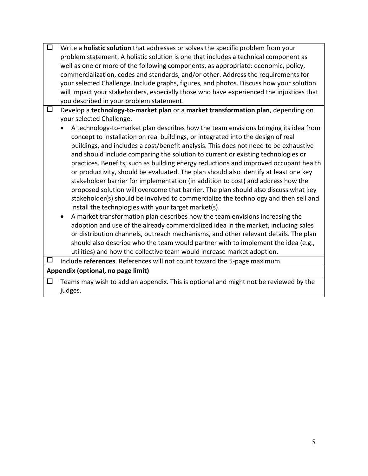| □ | Write a <b>holistic solution</b> that addresses or solves the specific problem from your |
|---|------------------------------------------------------------------------------------------|
|   | problem statement. A holistic solution is one that includes a technical component as     |
|   | well as one or more of the following components, as appropriate: economic, policy,       |
|   | commercialization, codes and standards, and/or other. Address the requirements for       |
|   | your selected Challenge. Include graphs, figures, and photos. Discuss how your solution  |
|   | will impact your stakeholders, especially those who have experienced the injustices that |
|   | you described in your problem statement.                                                 |
| □ | Develop a technology-to-market plan or a market transformation plan, depending on        |
|   | your selected Challenge.                                                                 |
|   | A technology-to-market plan describes how the team envisions bringing its idea from      |
|   | concept to installation on real buildings, or integrated into the design of real         |
|   | buildings, and includes a cost/benefit analysis. This does not need to be exhaustive     |
|   | and should include comparing the solution to current or existing technologies or         |
|   | practices. Benefits, such as building energy reductions and improved occupant health     |
|   | or productivity, should be evaluated. The plan should also identify at least one key     |
|   | stakeholder barrier for implementation (in addition to cost) and address how the         |
|   | proposed solution will overcome that barrier. The plan should also discuss what key      |
|   | stakeholder(s) should be involved to commercialize the technology and then sell and      |
|   | install the technologies with your target market(s).                                     |
|   | A market transformation plan describes how the team envisions increasing the             |
|   | adoption and use of the already commercialized idea in the market, including sales       |
|   | or distribution channels, outreach mechanisms, and other relevant details. The plan      |
|   | should also describe who the team would partner with to implement the idea (e.g.,        |
|   | utilities) and how the collective team would increase market adoption.                   |
| □ | Include references. References will not count toward the 5-page maximum.                 |
|   | Appendix (optional, no page limit)                                                       |
| □ | Teams may wish to add an appendix. This is optional and might not be reviewed by the     |
|   | judges.                                                                                  |
|   |                                                                                          |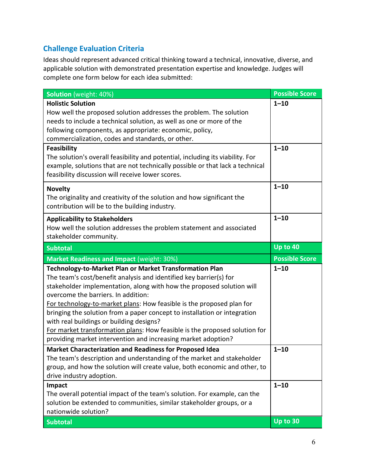# **Challenge Evaluation Criteria**

Ideas should represent advanced critical thinking toward a technical, innovative, diverse, and applicable solution with demonstrated presentation expertise and knowledge. Judges will complete one form below for each idea submitted:

| Solution (weight: 40%)                                                                                                                               | <b>Possible Score</b> |
|------------------------------------------------------------------------------------------------------------------------------------------------------|-----------------------|
| <b>Holistic Solution</b><br>How well the proposed solution addresses the problem. The solution                                                       | $1 - 10$              |
| needs to include a technical solution, as well as one or more of the                                                                                 |                       |
| following components, as appropriate: economic, policy,                                                                                              |                       |
| commercialization, codes and standards, or other.                                                                                                    |                       |
| Feasibility<br>The solution's overall feasibility and potential, including its viability. For                                                        | $1 - 10$              |
| example, solutions that are not technically possible or that lack a technical<br>feasibility discussion will receive lower scores.                   |                       |
| <b>Novelty</b>                                                                                                                                       | $1 - 10$              |
| The originality and creativity of the solution and how significant the<br>contribution will be to the building industry.                             |                       |
| <b>Applicability to Stakeholders</b>                                                                                                                 | $1 - 10$              |
| How well the solution addresses the problem statement and associated                                                                                 |                       |
| stakeholder community.                                                                                                                               |                       |
| <b>Subtotal</b>                                                                                                                                      | Up to 40              |
| <b>Market Readiness and Impact (weight: 30%)</b>                                                                                                     | <b>Possible Score</b> |
| Technology-to-Market Plan or Market Transformation Plan                                                                                              | $1 - 10$              |
| The team's cost/benefit analysis and identified key barrier(s) for<br>stakeholder implementation, along with how the proposed solution will          |                       |
| overcome the barriers. In addition:                                                                                                                  |                       |
| For technology-to-market plans: How feasible is the proposed plan for                                                                                |                       |
| bringing the solution from a paper concept to installation or integration                                                                            |                       |
| with real buildings or building designs?                                                                                                             |                       |
| For market transformation plans: How feasible is the proposed solution for                                                                           |                       |
|                                                                                                                                                      |                       |
| providing market intervention and increasing market adoption?                                                                                        |                       |
| <b>Market Characterization and Readiness for Proposed Idea</b>                                                                                       | $1 - 10$              |
| The team's description and understanding of the market and stakeholder<br>group, and how the solution will create value, both economic and other, to |                       |
| drive industry adoption.                                                                                                                             |                       |
| Impact                                                                                                                                               | $1 - 10$              |
| The overall potential impact of the team's solution. For example, can the                                                                            |                       |
| solution be extended to communities, similar stakeholder groups, or a<br>nationwide solution?                                                        |                       |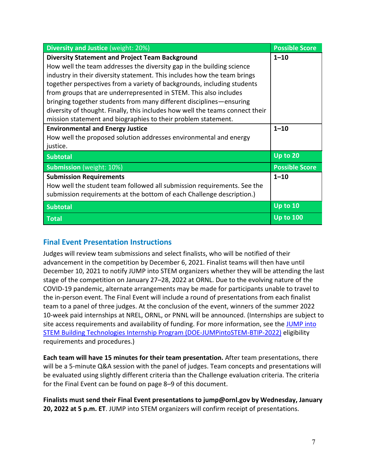| Diversity and Justice (weight: 20%)                                           | <b>Possible Score</b> |
|-------------------------------------------------------------------------------|-----------------------|
| <b>Diversity Statement and Project Team Background</b>                        | $1 - 10$              |
| How well the team addresses the diversity gap in the building science         |                       |
| industry in their diversity statement. This includes how the team brings      |                       |
| together perspectives from a variety of backgrounds, including students       |                       |
| from groups that are underrepresented in STEM. This also includes             |                       |
| bringing together students from many different disciplines—ensuring           |                       |
| diversity of thought. Finally, this includes how well the teams connect their |                       |
| mission statement and biographies to their problem statement.                 |                       |
| <b>Environmental and Energy Justice</b>                                       | $1 - 10$              |
| How well the proposed solution addresses environmental and energy             |                       |
| justice.                                                                      |                       |
| <b>Subtotal</b>                                                               | Up to 20              |
| <b>Submission</b> (weight: 10%)                                               | <b>Possible Score</b> |
| <b>Submission Requirements</b>                                                | $1 - 10$              |
| How well the student team followed all submission requirements. See the       |                       |
| submission requirements at the bottom of each Challenge description.)         |                       |
| <b>Subtotal</b>                                                               | Up to 10              |
| <b>Total</b>                                                                  | <b>Up to 100</b>      |

## **Final Event Presentation Instructions**

Judges will review team submissions and select finalists, who will be notified of their advancement in the competition by December 6, 2021. Finalist teams will then have until December 10, 2021 to notify JUMP into STEM organizers whether they will be attending the last stage of the competition on January 27–28, 2022 at ORNL. Due to the evolving nature of the COVID-19 pandemic, alternate arrangements may be made for participants unable to travel to the in-person event. The Final Event will include a round of presentations from each finalist team to a panel of three judges. At the conclusion of the event, winners of the summer 2022 10-week paid internships at NREL, ORNL, or PNNL will be announced. (Internships are subject to site access requirements and availability of funding. For more information, see the JUMP into [STEM Building Technologies Internship Program \(DOE-JUMPintoSTEM-BTIP-2022\)](https://zintellect.com/Opportunity/Details/DOE-JUMPintoSTEM-BTIP-2022) eligibility requirements and procedures.)

**Each team will have 15 minutes for their team presentation.** After team presentations, there will be a 5-minute Q&A session with the panel of judges. Team concepts and presentations will be evaluated using slightly different criteria than the Challenge evaluation criteria. The criteria for the Final Event can be found on page 8–9 of this document.

**Finalists must send their Final Event presentations to jump@ornl.gov by Wednesday, January 20, 2022 at 5 p.m. ET**. JUMP into STEM organizers will confirm receipt of presentations.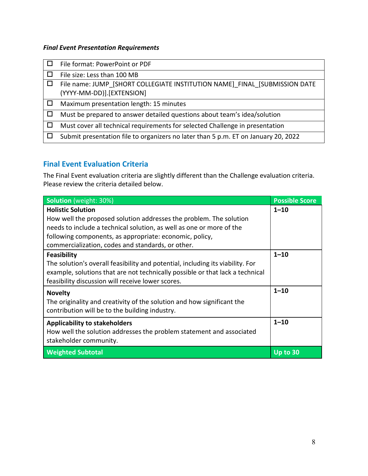#### *Final Event Presentation Requirements*

| File format: PowerPoint or PDF                                                                          |
|---------------------------------------------------------------------------------------------------------|
| File size: Less than 100 MB                                                                             |
| File name: JUMP [SHORT COLLEGIATE INSTITUTION NAME] FINAL [SUBMISSION DATE<br>(YYYY-MM-DD)].[EXTENSION] |
| Maximum presentation length: 15 minutes                                                                 |
| Must be prepared to answer detailed questions about team's idea/solution                                |
| Must cover all technical requirements for selected Challenge in presentation                            |
| Submit presentation file to organizers no later than 5 p.m. ET on January 20, 2022                      |
|                                                                                                         |

# **Final Event Evaluation Criteria**

The Final Event evaluation criteria are slightly different than the Challenge evaluation criteria. Please review the criteria detailed below.

| Solution (weight: 30%)                                                         | <b>Possible Score</b> |
|--------------------------------------------------------------------------------|-----------------------|
| <b>Holistic Solution</b>                                                       | $1 - 10$              |
| How well the proposed solution addresses the problem. The solution             |                       |
| needs to include a technical solution, as well as one or more of the           |                       |
| following components, as appropriate: economic, policy,                        |                       |
| commercialization, codes and standards, or other.                              |                       |
| Feasibility                                                                    | $1 - 10$              |
| The solution's overall feasibility and potential, including its viability. For |                       |
| example, solutions that are not technically possible or that lack a technical  |                       |
| feasibility discussion will receive lower scores.                              |                       |
| <b>Novelty</b>                                                                 | $1 - 10$              |
| The originality and creativity of the solution and how significant the         |                       |
| contribution will be to the building industry.                                 |                       |
| <b>Applicability to stakeholders</b>                                           | $1 - 10$              |
| How well the solution addresses the problem statement and associated           |                       |
| stakeholder community.                                                         |                       |
| <b>Weighted Subtotal</b>                                                       | Up to 30              |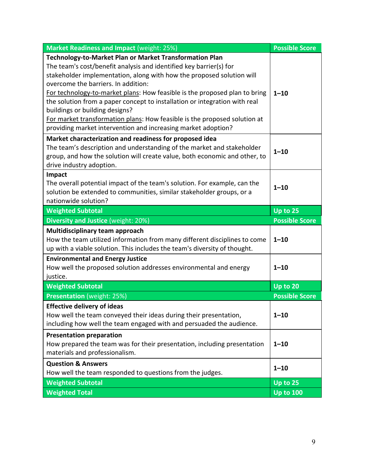| <b>Market Readiness and Impact (weight: 25%)</b>                                                                                                                                                                                                                                                                                                                                                                                                                                                                                                                                          | <b>Possible Score</b> |
|-------------------------------------------------------------------------------------------------------------------------------------------------------------------------------------------------------------------------------------------------------------------------------------------------------------------------------------------------------------------------------------------------------------------------------------------------------------------------------------------------------------------------------------------------------------------------------------------|-----------------------|
| Technology-to-Market Plan or Market Transformation Plan<br>The team's cost/benefit analysis and identified key barrier(s) for<br>stakeholder implementation, along with how the proposed solution will<br>overcome the barriers. In addition:<br>For technology-to-market plans: How feasible is the proposed plan to bring<br>the solution from a paper concept to installation or integration with real<br>buildings or building designs?<br>For market transformation plans: How feasible is the proposed solution at<br>providing market intervention and increasing market adoption? | $1 - 10$              |
| Market characterization and readiness for proposed idea<br>The team's description and understanding of the market and stakeholder<br>group, and how the solution will create value, both economic and other, to<br>drive industry adoption.                                                                                                                                                                                                                                                                                                                                               | $1 - 10$              |
| Impact<br>The overall potential impact of the team's solution. For example, can the<br>solution be extended to communities, similar stakeholder groups, or a<br>nationwide solution?                                                                                                                                                                                                                                                                                                                                                                                                      | $1 - 10$              |
| <b>Weighted Subtotal</b>                                                                                                                                                                                                                                                                                                                                                                                                                                                                                                                                                                  | Up to 25              |
| Diversity and Justice (weight: 20%)                                                                                                                                                                                                                                                                                                                                                                                                                                                                                                                                                       | <b>Possible Score</b> |
|                                                                                                                                                                                                                                                                                                                                                                                                                                                                                                                                                                                           |                       |
| Multidisciplinary team approach<br>How the team utilized information from many different disciplines to come<br>up with a viable solution. This includes the team's diversity of thought.                                                                                                                                                                                                                                                                                                                                                                                                 | $1 - 10$              |
| <b>Environmental and Energy Justice</b><br>How well the proposed solution addresses environmental and energy<br>justice.                                                                                                                                                                                                                                                                                                                                                                                                                                                                  | $1 - 10$              |
| <b>Weighted Subtotal</b>                                                                                                                                                                                                                                                                                                                                                                                                                                                                                                                                                                  | Up to 20              |
| <b>Presentation</b> (weight: 25%)                                                                                                                                                                                                                                                                                                                                                                                                                                                                                                                                                         | <b>Possible Score</b> |
| <b>Effective delivery of ideas</b><br>How well the team conveyed their ideas during their presentation,<br>including how well the team engaged with and persuaded the audience.                                                                                                                                                                                                                                                                                                                                                                                                           | $1 - 10$              |
| <b>Presentation preparation</b><br>How prepared the team was for their presentation, including presentation<br>materials and professionalism.                                                                                                                                                                                                                                                                                                                                                                                                                                             | $1 - 10$              |
| <b>Question &amp; Answers</b><br>How well the team responded to questions from the judges.                                                                                                                                                                                                                                                                                                                                                                                                                                                                                                | $1 - 10$              |
| <b>Weighted Subtotal</b>                                                                                                                                                                                                                                                                                                                                                                                                                                                                                                                                                                  | Up to 25              |